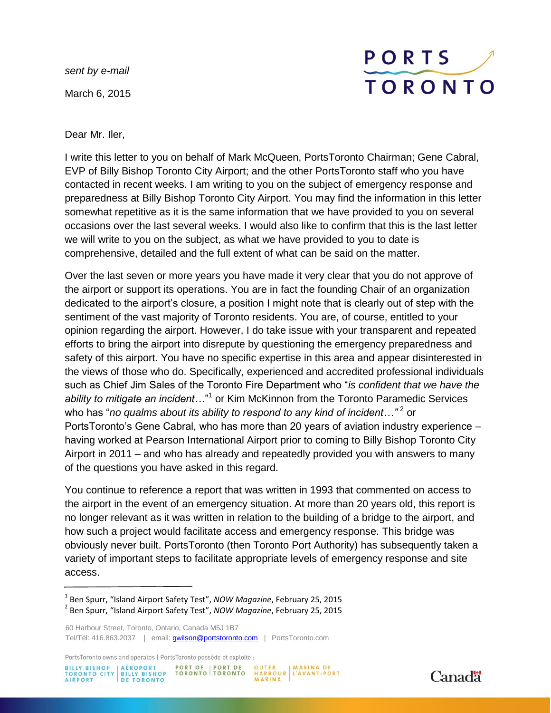*sent by e-mail* March 6, 2015

## PORTS **TORONTO**

Dear Mr. Iler,

I write this letter to you on behalf of Mark McQueen, PortsToronto Chairman; Gene Cabral, EVP of Billy Bishop Toronto City Airport; and the other PortsToronto staff who you have contacted in recent weeks. I am writing to you on the subject of emergency response and preparedness at Billy Bishop Toronto City Airport. You may find the information in this letter somewhat repetitive as it is the same information that we have provided to you on several occasions over the last several weeks. I would also like to confirm that this is the last letter we will write to you on the subject, as what we have provided to you to date is comprehensive, detailed and the full extent of what can be said on the matter.

Over the last seven or more years you have made it very clear that you do not approve of the airport or support its operations. You are in fact the founding Chair of an organization dedicated to the airport's closure, a position I might note that is clearly out of step with the sentiment of the vast majority of Toronto residents. You are, of course, entitled to your opinion regarding the airport. However, I do take issue with your transparent and repeated efforts to bring the airport into disrepute by questioning the emergency preparedness and safety of this airport. You have no specific expertise in this area and appear disinterested in the views of those who do. Specifically, experienced and accredited professional individuals such as Chief Jim Sales of the Toronto Fire Department who "*is confident that we have the* ability to mitigate an incident..."<sup>1</sup> or Kim McKinnon from the Toronto Paramedic Services who has "*no qualms about its ability to respond to any kind of incident…"<sup>2</sup> or* PortsToronto's Gene Cabral, who has more than 20 years of aviation industry experience – having worked at Pearson International Airport prior to coming to Billy Bishop Toronto City Airport in 2011 – and who has already and repeatedly provided you with answers to many of the questions you have asked in this regard.

You continue to reference a report that was written in 1993 that commented on access to the airport in the event of an emergency situation. At more than 20 years old, this report is no longer relevant as it was written in relation to the building of a bridge to the airport, and how such a project would facilitate access and emergency response. This bridge was obviously never built. PortsToronto (then Toronto Port Authority) has subsequently taken a variety of important steps to facilitate appropriate levels of emergency response and site access.

PortsToronto owns and operates | PortsToronto possède et exploite :





<sup>1</sup> Ben Spurr, "Island Airport Safety Test", *NOW Magazine*, February 25, 2015 2 Ben Spurr, "Island Airport Safety Test", *NOW Magazine*, February 25, 2015

<sup>60</sup> Harbour Street, Toronto, Ontario, Canada M5J 1B7 Tel/Tél: 416.863.2037 | email: **gwilson@portstoronto.com** | PortsToronto.com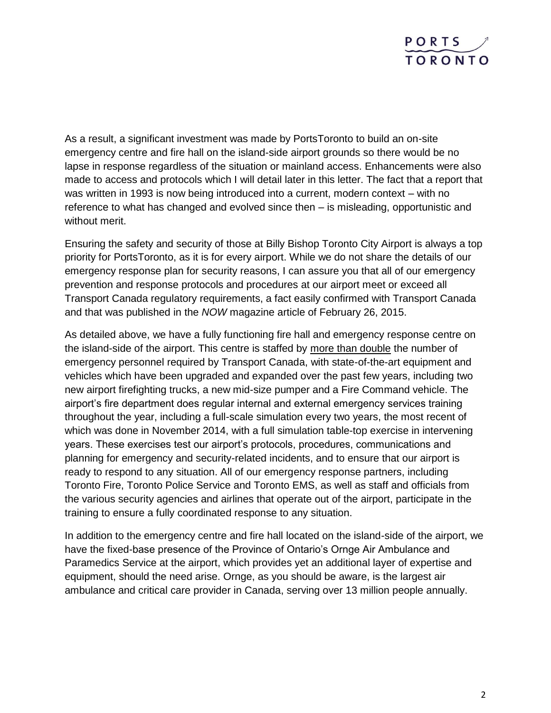

As a result, a significant investment was made by PortsToronto to build an on-site emergency centre and fire hall on the island-side airport grounds so there would be no lapse in response regardless of the situation or mainland access. Enhancements were also made to access and protocols which I will detail later in this letter. The fact that a report that was written in 1993 is now being introduced into a current, modern context – with no reference to what has changed and evolved since then – is misleading, opportunistic and without merit.

Ensuring the safety and security of those at Billy Bishop Toronto City Airport is always a top priority for PortsToronto, as it is for every airport. While we do not share the details of our emergency response plan for security reasons, I can assure you that all of our emergency prevention and response protocols and procedures at our airport meet or exceed all Transport Canada regulatory requirements, a fact easily confirmed with Transport Canada and that was published in the *NOW* magazine article of February 26, 2015.

As detailed above, we have a fully functioning fire hall and emergency response centre on the island-side of the airport. This centre is staffed by more than double the number of emergency personnel required by Transport Canada, with state-of-the-art equipment and vehicles which have been upgraded and expanded over the past few years, including two new airport firefighting trucks, a new mid-size pumper and a Fire Command vehicle. The airport's fire department does regular internal and external emergency services training throughout the year, including a full-scale simulation every two years, the most recent of which was done in November 2014, with a full simulation table-top exercise in intervening years. These exercises test our airport's protocols, procedures, communications and planning for emergency and security-related incidents, and to ensure that our airport is ready to respond to any situation. All of our emergency response partners, including Toronto Fire, Toronto Police Service and Toronto EMS, as well as staff and officials from the various security agencies and airlines that operate out of the airport, participate in the training to ensure a fully coordinated response to any situation.

In addition to the emergency centre and fire hall located on the island-side of the airport, we have the fixed-base presence of the Province of Ontario's Ornge Air Ambulance and Paramedics Service at the airport, which provides yet an additional layer of expertise and equipment, should the need arise. Ornge, as you should be aware, is the largest air ambulance and critical care provider in Canada, serving over 13 million people annually.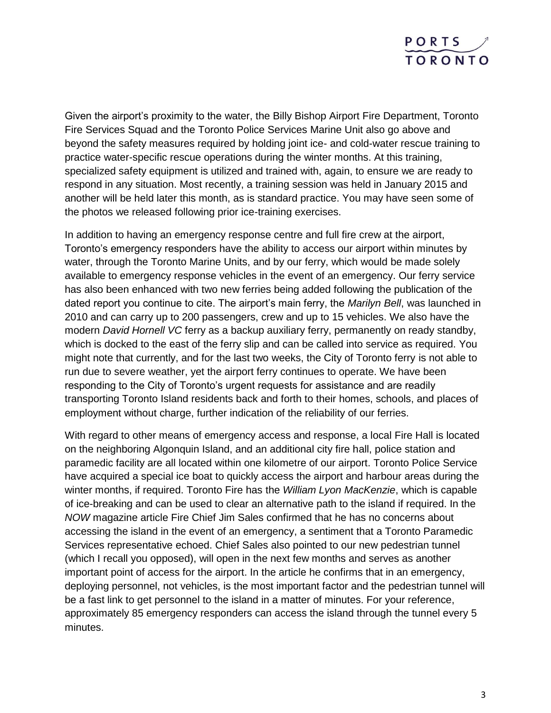

Given the airport's proximity to the water, the Billy Bishop Airport Fire Department, Toronto Fire Services Squad and the Toronto Police Services Marine Unit also go above and beyond the safety measures required by holding joint ice- and cold-water rescue training to practice water-specific rescue operations during the winter months. At this training, specialized safety equipment is utilized and trained with, again, to ensure we are ready to respond in any situation. Most recently, a training session was held in January 2015 and another will be held later this month, as is standard practice. You may have seen some of the photos we released following prior ice-training exercises.

In addition to having an emergency response centre and full fire crew at the airport, Toronto's emergency responders have the ability to access our airport within minutes by water, through the Toronto Marine Units, and by our ferry, which would be made solely available to emergency response vehicles in the event of an emergency. Our ferry service has also been enhanced with two new ferries being added following the publication of the dated report you continue to cite. The airport's main ferry, the *Marilyn Bell*, was launched in 2010 and can carry up to 200 passengers, crew and up to 15 vehicles. We also have the modern *David Hornell VC* ferry as a backup auxiliary ferry, permanently on ready standby, which is docked to the east of the ferry slip and can be called into service as required. You might note that currently, and for the last two weeks, the City of Toronto ferry is not able to run due to severe weather, yet the airport ferry continues to operate. We have been responding to the City of Toronto's urgent requests for assistance and are readily transporting Toronto Island residents back and forth to their homes, schools, and places of employment without charge, further indication of the reliability of our ferries.

With regard to other means of emergency access and response, a local Fire Hall is located on the neighboring Algonquin Island, and an additional city fire hall, police station and paramedic facility are all located within one kilometre of our airport. Toronto Police Service have acquired a special ice boat to quickly access the airport and harbour areas during the winter months, if required. Toronto Fire has the *William Lyon MacKenzie*, which is capable of ice-breaking and can be used to clear an alternative path to the island if required. In the *NOW* magazine article Fire Chief Jim Sales confirmed that he has no concerns about accessing the island in the event of an emergency, a sentiment that a Toronto Paramedic Services representative echoed. Chief Sales also pointed to our new pedestrian tunnel (which I recall you opposed), will open in the next few months and serves as another important point of access for the airport. In the article he confirms that in an emergency, deploying personnel, not vehicles, is the most important factor and the pedestrian tunnel will be a fast link to get personnel to the island in a matter of minutes. For your reference, approximately 85 emergency responders can access the island through the tunnel every 5 minutes.